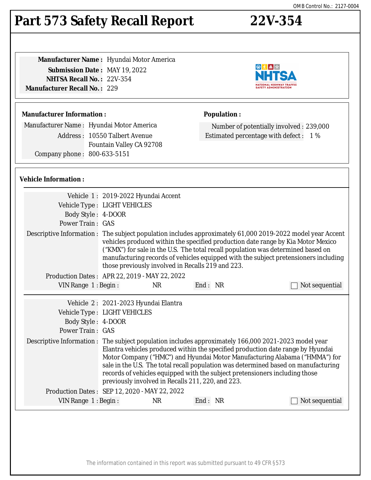#### The information contained in this report was submitted pursuant to 49 CFR §573

## **Part 573 Safety Recall Report 22V-354**

**Manufacturer Name :** Hyundai Motor America **Submission Date :** MAY 19, 2022 **NHTSA Recall No. :** 22V-354 **Manufacturer Recall No. :** 229

#### **Manufacturer Information :**

Manufacturer Name : Hyundai Motor America Address : 10550 Talbert Avenue Fountain Valley CA 92708 Company phone : 800-633-5151

#### **Vehicle Information :**

|                                               | Vehicle 1: 2019-2022 Hyundai Accent                                                                                                                                                                                                                                                                                                                                                                                                                                                             |    |         |                |
|-----------------------------------------------|-------------------------------------------------------------------------------------------------------------------------------------------------------------------------------------------------------------------------------------------------------------------------------------------------------------------------------------------------------------------------------------------------------------------------------------------------------------------------------------------------|----|---------|----------------|
|                                               | Vehicle Type : LIGHT VEHICLES                                                                                                                                                                                                                                                                                                                                                                                                                                                                   |    |         |                |
| Body Style: 4-DOOR                            |                                                                                                                                                                                                                                                                                                                                                                                                                                                                                                 |    |         |                |
| <b>Power Train: GAS</b>                       |                                                                                                                                                                                                                                                                                                                                                                                                                                                                                                 |    |         |                |
|                                               | Descriptive Information : The subject population includes approximately 61,000 2019-2022 model year Accent<br>vehicles produced within the specified production date range by Kia Motor Mexico<br>("KMX") for sale in the U.S. The total recall population was determined based on<br>manufacturing records of vehicles equipped with the subject pretensioners including<br>those previously involved in Recalls 219 and 223.                                                                  |    |         |                |
| Production Dates: APR 22, 2019 - MAY 22, 2022 |                                                                                                                                                                                                                                                                                                                                                                                                                                                                                                 |    |         |                |
| VIN Range 1: Begin:                           |                                                                                                                                                                                                                                                                                                                                                                                                                                                                                                 | NR | End: NR | Not sequential |
|                                               |                                                                                                                                                                                                                                                                                                                                                                                                                                                                                                 |    |         |                |
|                                               | Vehicle 2: 2021-2023 Hyundai Elantra                                                                                                                                                                                                                                                                                                                                                                                                                                                            |    |         |                |
|                                               | Vehicle Type : LIGHT VEHICLES                                                                                                                                                                                                                                                                                                                                                                                                                                                                   |    |         |                |
| Body Style: 4-DOOR                            |                                                                                                                                                                                                                                                                                                                                                                                                                                                                                                 |    |         |                |
| <b>Power Train: GAS</b>                       |                                                                                                                                                                                                                                                                                                                                                                                                                                                                                                 |    |         |                |
|                                               | Descriptive Information : The subject population includes approximately 166,000 2021-2023 model year<br>Elantra vehicles produced within the specified production date range by Hyundai<br>Motor Company ("HMC") and Hyundai Motor Manufacturing Alabama ("HMMA") for<br>sale in the U.S. The total recall population was determined based on manufacturing<br>records of vehicles equipped with the subject pretensioners including those<br>previously involved in Recalls 211, 220, and 223. |    |         |                |
| Production Dates: SEP 12, 2020 - MAY 22, 2022 |                                                                                                                                                                                                                                                                                                                                                                                                                                                                                                 |    |         |                |
| VIN Range $1:$ Begin:                         |                                                                                                                                                                                                                                                                                                                                                                                                                                                                                                 | NR | End: NR | Not sequential |
|                                               |                                                                                                                                                                                                                                                                                                                                                                                                                                                                                                 |    |         |                |



Number of potentially involved : 239,000 Estimated percentage with defect : 1 %

**Population :**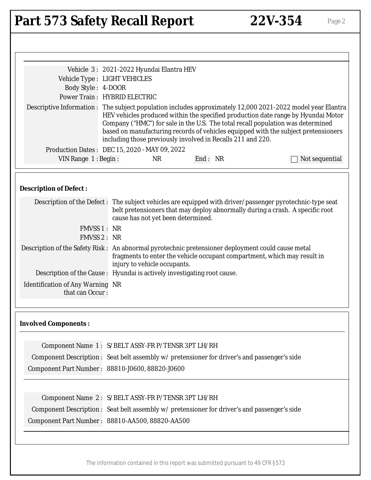# Part 573 Safety Recall Report 22V-354 Page 2

| Vehicle Type : LIGHT VEHICLES<br>Body Style: 4-DOOR<br><b>Power Train: HYBRID ELECTRIC</b><br>Descriptive Information : The subject population includes approximately 12,000 2021-2022 model year Elantra | Vehicle 3: 2021-2022 Hyundai Elantra HEV<br>Production Dates: DEC 15, 2020 - MAY 09, 2022 | Company ("HMC") for sale in the U.S. The total recall population was determined<br>including those previously involved in Recalls 211 and 220.                                            | HEV vehicles produced within the specified production date range by Hyundai Motor<br>based on manufacturing records of vehicles equipped with the subject pretensioners |
|-----------------------------------------------------------------------------------------------------------------------------------------------------------------------------------------------------------|-------------------------------------------------------------------------------------------|-------------------------------------------------------------------------------------------------------------------------------------------------------------------------------------------|-------------------------------------------------------------------------------------------------------------------------------------------------------------------------|
| VIN Range 1: Begin:                                                                                                                                                                                       | <b>NR</b>                                                                                 | End: NR                                                                                                                                                                                   | Not sequential                                                                                                                                                          |
| <b>Description of Defect:</b>                                                                                                                                                                             | cause has not yet been determined.                                                        | Description of the Defect: The subject vehicles are equipped with driver/passenger pyrotechnic-type seat<br>belt pretensioners that may deploy abnormally during a crash. A specific root |                                                                                                                                                                         |
| FMVSS 1: NR                                                                                                                                                                                               |                                                                                           |                                                                                                                                                                                           |                                                                                                                                                                         |
| <b>FMVSS 2: NR</b>                                                                                                                                                                                        |                                                                                           |                                                                                                                                                                                           |                                                                                                                                                                         |
| Description of the Safety Risk: An abnormal pyrotechnic pretensioner deployment could cause metal<br>Description of the Cause : Hyundai is actively investigating root cause.                             | injury to vehicle occupants.                                                              | fragments to enter the vehicle occupant compartment, which may result in                                                                                                                  |                                                                                                                                                                         |
| <b>Identification of Any Warning NR</b><br>that can Occur:                                                                                                                                                |                                                                                           |                                                                                                                                                                                           |                                                                                                                                                                         |
| <b>Involved Components:</b>                                                                                                                                                                               |                                                                                           |                                                                                                                                                                                           |                                                                                                                                                                         |
|                                                                                                                                                                                                           | Component Name 1: S/BELT ASSY-FR P/TENSR 3PT LH/RH                                        |                                                                                                                                                                                           |                                                                                                                                                                         |
| Component Description : Seat belt assembly w/pretensioner for driver's and passenger's side                                                                                                               |                                                                                           |                                                                                                                                                                                           |                                                                                                                                                                         |
| Component Part Number: 88810-J0600, 88820-J0600                                                                                                                                                           |                                                                                           |                                                                                                                                                                                           |                                                                                                                                                                         |
|                                                                                                                                                                                                           | Component Name 2: S/BELT ASSY-FR P/TENSR 3PT LH/RH                                        |                                                                                                                                                                                           |                                                                                                                                                                         |
| Component Description : Seat belt assembly w/pretensioner for driver's and passenger's side                                                                                                               |                                                                                           |                                                                                                                                                                                           |                                                                                                                                                                         |
| Component Part Number: 88810-AA500, 88820-AA500                                                                                                                                                           |                                                                                           |                                                                                                                                                                                           |                                                                                                                                                                         |
|                                                                                                                                                                                                           |                                                                                           |                                                                                                                                                                                           |                                                                                                                                                                         |
|                                                                                                                                                                                                           |                                                                                           |                                                                                                                                                                                           |                                                                                                                                                                         |

The information contained in this report was submitted pursuant to 49 CFR §573